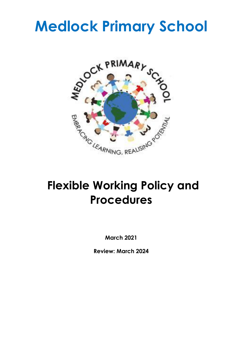# **Medlock Primary School**



# **Flexible Working Policy and Procedures**

**March 2021**

**Review: March 2024**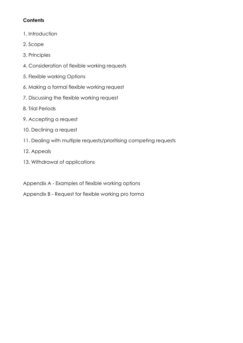# **Contents**

- 1. Introduction
- 2. Scope
- 3. Principles
- 4. Consideration of flexible working requests
- 5. Flexible working Options
- 6. Making a formal flexible working request
- 7. Discussing the flexible working request
- 8. Trial Periods
- 9. Accepting a request
- 10. Declining a request
- 11. Dealing with multiple requests/prioritising competing requests
- 12. Appeals
- 13. Withdrawal of applications
- Appendix A Examples of flexible working options
- Appendix B Request for flexible working pro forma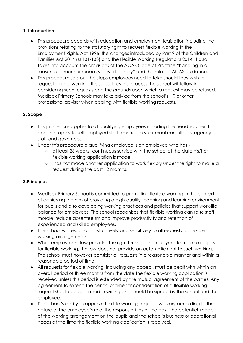#### **1. Introduction**

- This procedure accords with education and employment legislation including the provisions relating to the statutory right to request flexible working in the Employment Rights Act 1996, the changes introduced by Part 9 of the Children and Families Act 2014 (ss 131-133) and the Flexible Working Regulations 2014. It also takes into account the provisions of the ACAS Code of Practice "handling in a reasonable manner requests to work flexibly" and the related ACAS guidance.
- This procedure sets out the steps employees need to take should they wish to request flexible working. It also outlines the process the school will follow in considering such requests and the grounds upon which a request may be refused. Medlock Primary Schools may take advice from the school's HR or other professional adviser when dealing with flexible working requests.

#### **2. Scope**

- This procedure applies to all qualifying employees including the headteacher. It does not apply to self employed staff, contractors, external consultants, agency staff and governors.
- Under this procedure a qualifying employee is an employee who has:-
	- at least 26 weeks' continuous service with the school at the date his/her flexible working application is made,
	- has not made another application to work flexibly under the right to make a request during the past 12 months.

#### **3.Principles**

- Medlock Primary School is committed to promoting flexible working in the context of achieving the aim of providing a high quality teaching and learning environment for pupils and also developing working practices and policies that support work-life balance for employees. The school recognises that flexible working can raise staff morale, reduce absenteeism and improve productivity and retention of experienced and skilled employees.
- The school will respond constructively and sensitively to all requests for flexible working arrangements.
- Whilst employment law provides the right for eligible employees to make a request for flexible working, the law does not provide an automatic right to such working. The school must however consider all requests in a reasonable manner and within a reasonable period of time.
- All requests for flexible working, including any appeal, must be dealt with within an overall period of three months from the date the flexible working application is received unless this period is extended by the mutual agreement of the parties. Any agreement to extend the period of time for consideration of a flexible working request should be confirmed in writing and should be signed by the school and the employee.
- The school's ability to approve flexible working requests will vary according to the nature of the employee's role, the responsibilities of the post, the potential impact of the working arrangement on the pupils and the school's business or operational needs at the time the flexible working application is received.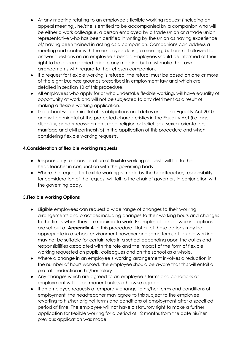- At any meeting relating to an employee's flexible working request (including an appeal meeting), he/she is entitled to be accompanied by a companion who will be either a work colleague, a person employed by a trade union or a trade union representative who has been certified in writing by the union as having experience of/ having been trained in acting as a companion. Companions can address a meeting and confer with the employee during a meeting, but are not allowed to answer questions on an employee's behalf. Employees should be informed of their right to be accompanied prior to any meeting but must make their own arrangements with regard to their chosen companion.
- If a request for flexible working is refused, the refusal must be based on one or more of the eight business grounds prescribed in employment law and which are detailed in section 10 of this procedure.
- All employees who apply for or who undertake flexible working, will have equality of opportunity at work and will not be subjected to any detriment as a result of making a flexible working application.
- The school will be mindful of its obligations and duties under the Equality Act 2010 and will be mindful of the protected characteristics in the Equality Act (i.e. age, disability, gender reassignment, race, religion or belief, sex, sexual orientation, marriage and civil partnership) in the application of this procedure and when considering flexible working requests.

#### **4.Consideration of flexible working requests**

- Responsibility for consideration of flexible working requests will fall to the headteacher in conjunction with the governing body.
- Where the request for flexible working is made by the headteacher, responsibility for consideration of the request will fall to the chair of governors in conjunction with the governing body.

#### **5.Flexible working Options**

- Eligible employees can request a wide range of changes to their working arrangements and practices including changes to their working hours and changes to the times when they are required to work. Examples of flexible working options are set out at **Appendix A** to this procedure. Not all of these options may be appropriate in a school environment however and some forms of flexible working may not be suitable for certain roles in a school depending upon the duties and responsibilities associated with the role and the impact of the form of flexible working requested on pupils, colleagues and on the school as a whole.
- Where a change in an employee's working arrangement involves a reduction in the number of hours worked, the employee should be aware that this will entail a pro-rata reduction in his/her salary.
- Any changes which are agreed to an employee's terms and conditions of employment will be permanent unless otherwise agreed.
- If an employee requests a temporary change to his/her terms and conditions of employment, the headteacher may agree to this subject to the employee reverting to his/her original terms and conditions of employment after a specified period of time. The employee will not have a statutory right to make a further application for flexible working for a period of 12 months from the date his/her previous application was made.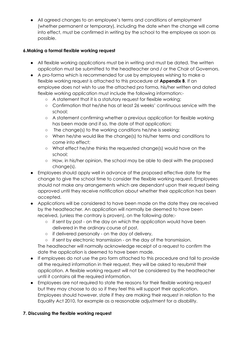● All agreed changes to an employee's terms and conditions of employment (whether permanent or temporary), including the date when the change will come into effect, must be confirmed in writing by the school to the employee as soon as possible.

#### **6.Making a formal flexible working request**

- All flexible working applications must be in writing and must be dated. The written application must be submitted to the headteacher and / or the Chair of Governors.
- A pro-forma which is recommended for use by employees wishing to make a flexible working request is attached to this procedure at **Appendix B**. If an employee does not wish to use the attached pro forma, his/her written and dated flexible working application must include the following information:-
	- A statement that it is a statutory request for flexible working;
	- Confirmation that he/she has at least 26 weeks' continuous service with the school;
	- A statement confirming whether a previous application for flexible working has been made and if so, the date of that application;
	- The change(s) to the working conditions he/she is seeking;
	- When he/she would like the change(s) to his/her terms and conditions to come into effect;
	- What effect he/she thinks the requested change(s) would have on the school;
	- How, in his/her opinion, the school may be able to deal with the proposed change(s).
- Employees should apply well in advance of the proposed effective date for the change to give the school time to consider the flexible working request. Employees should not make any arrangements which are dependant upon their request being approved until they receive notification about whether their application has been accepted.
- Applications will be considered to have been made on the date they are received by the headteacher. An application will normally be deemed to have been received, (unless the contrary is proven), on the following date;-
	- $\circ$  if sent by post on the day on which the application would have been delivered in the ordinary course of post,
	- o if delivered personally on the day of delivery,
	- if sent by electronic transmission on the day of the transmission.

The headteacher will normally acknowledge receipt of a request to confirm the date the application is deemed to have been made.

- If employees do not use the pro form attached to this procedure and fail to provide all the required information in their request, they will be asked to resubmit their application. A flexible working request will not be considered by the headteacher until it contains all the required information.
- Employees are not required to state the reasons for their flexible working request but they may choose to do so if they feel this will support their application. Employees should however, state if they are making their request in relation to the Equality Act 2010, for example as a reasonable adjustment for a disability.

# **7. Discussing the flexible working request**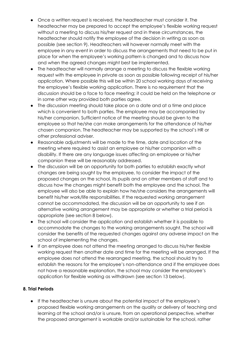- Once a written request is received, the headteacher must consider it. The headteacher may be prepared to accept the employee's flexible working request without a meeting to discuss his/her request and in these circumstances, the headteacher should notify the employee of the decision in writing as soon as possible (see section 9). Headteachers will however normally meet with the employee in any event in order to discuss the arrangements that need to be put in place for when the employee's working pattern is changed and to discuss how and when the agreed changes might best be implemented.
- The headteacher will normally arrange a meeting to discuss the flexible working request with the employee in private as soon as possible following receipt of his/her application. Where possible this will be within 20 school working days of receiving the employee's flexible working application. There is no requirement that the discussion should be a face to face meeting; it could be held on the telephone or in some other way provided both parties agree.
- The discussion meeting should take place on a date and at a time and place which is convenient to both parties. The employee may be accompanied by his/her companion. Sufficient notice of the meeting should be given to the employee so that he/she can make arrangements for the attendance of his/her chosen companion. The headteacher may be supported by the school's HR or other professional adviser.
- Reasonable adjustments will be made to the time, date and location of the meeting where required to assist an employee or his/her companion with a disability. If there are any language issues affecting an employee or his/her companion these will be reasonably addressed.
- The discussion will be an opportunity for both parties to establish exactly what changes are being sought by the employee, to consider the impact of the proposed changes on the school, its pupils and on other members of staff and to discuss how the changes might benefit both the employee and the school. The employee will also be able to explain how he/she considers the arrangements will benefit his/her work/life responsibilities. If the requested working arrangement cannot be accommodated, the discussion will be an opportunity to see if an alternative working arrangement may be appropriate or whether a trial period is appropriate (see section 8 below).
- The school will consider the application and establish whether it is possible to accommodate the changes to the working arrangements sought. The school will consider the benefits of the requested changes against any adverse impact on the school of implementing the changes.
- If an employee does not attend the meeting arranged to discuss his/her flexible working request then another date and time for the meeting will be arranged. If the employee does not attend the rearranged meeting, the school should try to establish the reasons for the employee's non-attendance and if the employee does not have a reasonable explanation, the school may consider the employee's application for flexible working as withdrawn (see section 13 below).

#### **8. Trial Periods**

● If the headteacher is unsure about the potential impact of the employee's proposed flexible working arrangements on the quality or delivery of teaching and learning at the school and/or is unsure, from an operational perspective, whether the proposed arrangement is workable and/or sustainable for the school, rather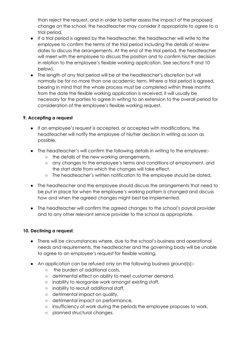than reject the request, and in order to better assess the impact of the proposed change on the school, the headteacher may consider it appropriate to agree to a trial period.

- If a trial period is agreed by the headteacher, the headteacher will write to the employee to confirm the terms of the trial period including the details of review dates to discuss the arrangements. At the end of the trial period, the headteacher will meet with the employee to discuss the position and to confirm his/her decision in relation to the employee's flexible working application. See sections 9 and 10 below).
- The length of any trial period will be at the headteacher's discretion but will normally be for no more than one academic term. Where a trial period is agreed, bearing in mind that the whole process must be completed within three months from the date the flexible working application is received, it will usually be necessary for the parties to agree in writing to an extension to the overall period for consideration of the employee's flexible working request.

#### **9. Accepting a request**

- If an employee's request is accepted, or accepted with modifications, the headteacher will notify the employee of his/her decision in writing as soon as possible.
- The headteacher's will confirm the following details in writing to the employee:-
	- the details of the new working arrangements,
	- any changes to the employee's terms and conditions of employment, and the start date from which the changes will take effect.
	- The headteacher's written notification to the employee should be dated.
- The headteacher and the employee should discuss the arrangements that need to be put in place for when the employee's working pattern is changed and discuss how and when the agreed changes might best be implemented.
- The headteacher will confirm the agreed changes to the school's payroll provider and to any other relevant service provider to the school as appropriate.

#### **10. Declining a request.**

- There will be circumstances where, due to the school's business and operational needs and requirements, the headteacher and the governing body will be unable to agree to an employee's request for flexible working.
- An application can be refused only on the following business ground(s):-
	- the burden of additional costs,
	- detrimental effect on ability to meet customer demand,
	- inability to reorganise work amongst existing staff,
	- inability to recruit additional staff,
	- detrimental impact on quality,
	- detrimental impact on performance,
	- o insufficiency of work during the periods the employee proposes to work,
	- planned structural changes.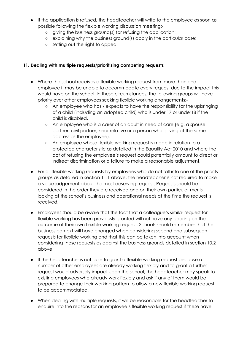- If the application is refused, the headteacher will write to the employee as soon as possible following the flexible working discussion meeting:-
	- giving the business ground(s) for refusing the application;
	- explaining why the business ground(s) apply in the particular case;
	- setting out the right to appeal.

#### **11. Dealing with multiple requests/prioritising competing requests**

- Where the school receives a flexible working request from more than one employee it may be unable to accommodate every request due to the impact this would have on the school. In these circumstances, the following groups will have priority over other employees seeking flexible working arrangements:-
	- An employee who has / expects to have the responsibility for the upbringing of a child (including an adopted child) who is under 17 or under18 if the child is disabled.
	- An employee who is a carer of an adult in need of care (e.g. a spouse, partner, civil partner, near relative or a person who is living at the same address as the employee).
	- An employee whose flexible working request is made in relation to a protected characteristic as detailed in the Equality Act 2010 and where the act of refusing the employee's request could potentially amount to direct or indirect discrimination or a failure to make a reasonable adjustment.
- For all flexible working requests by employees who do not fall into one of the priority groups as detailed in section 11.1 above, the headteacher is not required to make a value judgement about the most deserving request. Requests should be considered in the order they are received and on their own particular merits looking at the school's business and operational needs at the time the request is received.
- Employees should be aware that the fact that a colleague's similar request for flexible working has been previously granted will not have any bearing on the outcome of their own flexible working request. Schools should remember that the business context will have changed when considering second and subsequent requests for flexible working and that this can be taken into account when considering those requests as against the business grounds detailed in section 10.2 above.
- If the headteacher is not able to grant a flexible working request because a number of other employees are already working flexibly and to grant a further request would adversely impact upon the school, the headteacher may speak to existing employees who already work flexibly and ask if any of them would be prepared to change their working pattern to allow a new flexible working request to be accommodated.
- When dealing with multiple requests, it will be reasonable for the headteacher to enquire into the reasons for an employee's flexible working request if these have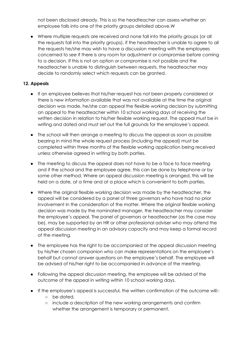not been disclosed already. This is so the headteacher can assess whether an employee falls into one of the priority groups detailed above.W

● Where multiple requests are received and none fall into the priority groups (or all the requests fall into the priority groups), if the headteacher is unable to agree to all the requests he/she may wish to have a discussion meeting with the employees concerned to see if there is any room for adjustment or compromise before coming to a decision. If this is not an option or compromise is not possible and the headteacher is unable to distinguish between requests, the headteacher may decide to randomly select which requests can be granted.

#### **12. Appeals**

- If an employee believes that his/her request has not been properly considered or there is new information available that was not available at the time the original decision was made, he/she can appeal the flexible working decision by submitting an appeal to the headteacher within 10 school working days of receiving the written decision in relation to his/her flexible working request. The appeal must be in writing and dated and must set out the full grounds for the employee's appeal.
- The school will then arrange a meeting to discuss the appeal as soon as possible bearing in mind the whole request process (including the appeal) must be completed within three months of the flexible working application being received unless otherwise agreed in writing by both parties.
- The meeting to discuss the appeal does not have to be a face to face meeting and if the school and the employee agree, this can be done by telephone or by some other method. Where an appeal discussion meeting is arranged, this will be held on a date, at a time and at a place which is convenient to both parties.
- Where the original flexible working decision was made by the headteacher, the appeal will be considered by a panel of three governors who have had no prior involvement in the consideration of the matter. Where the original flexible working decision was made by the nominated manager, the headteacher may consider the employee's appeal. The panel of governors or headteacher (as the case may be), may be supported by an HR or other professional adviser who may attend the appeal discussion meeting in an advisory capacity and may keep a formal record of the meeting.
- The employee has the right to be accompanied at the appeal discussion meeting by his/her chosen companion who can make representations on the employee's behalf but cannot answer questions on the employee's behalf. The employee will be advised of his/her right to be accompanied in advance of the meeting.
- Following the appeal discussion meeting, the employee will be advised of the outcome of the appeal in writing within 10 school working days.
- If the employee's appeal is successful, the written confirmation of the outcome will:-
	- be dated,
	- include a description of the new working arrangements and confirm whether the arrangement is temporary or permanent,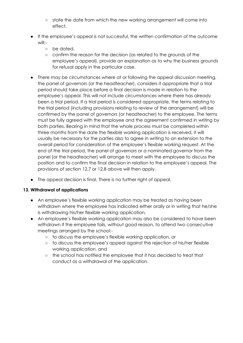- state the date from which the new working arrangement will come into effect.
- If the employee's appeal is not successful, the written confirmation of the outcome will:-
	- be dated,
	- confirm the reason for the decision (as related to the grounds of the employee's appeal), provide an explanation as to why the business grounds for refusal apply in the particular case.
- There may be circumstances where at or following the appeal discussion meeting, the panel of governors (or the headteacher), considers it appropriate that a trial period should take place before a final decision is made in relation to the employee's appeal. This will not include circumstances where there has already been a trial period. If a trial period is considered appropriate, the terms relating to the trial period (including provisions relating to review of the arrangement) will be confirmed by the panel of governors (or headteacher) to the employee. The terms must be fully agreed with the employee and the agreement confirmed in writing by both parties. Bearing in mind that the whole process must be completed within three months from the date the flexible working application is received, it will usually be necessary for the parties also to agree in writing to an extension to the overall period for consideration of the employee's flexible working request. At the end of the trial period, the panel of governors or a nominated governor from the panel (or the headteacher) will arrange to meet with the employee to discuss the position and to confirm the final decision in relation to the employee's appeal. The provisions of section 12.7 or 12.8 above will then apply.
- The appeal decision is final. There is no further right of appeal.

#### **13. Withdrawal of applications**

- An employee's flexible working application may be treated as having been withdrawn where the employee has indicated either orally or in writing that he/she is withdrawing his/her flexible working application.
- An employee's flexible working application may also be considered to have been withdrawn if the employee fails, without good reason, to attend two consecutive meetings arranged by the school:-
	- to discuss the employee's flexible working application, or
	- to discuss the employee's appeal against the rejection of his/her flexible working application, and
	- the school has notified the employee that it has decided to treat that conduct as a withdrawal of the application.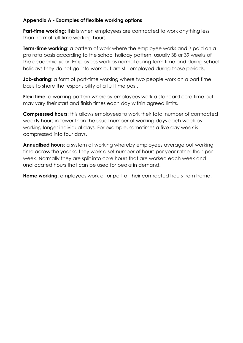## **Appendix A - Examples of flexible working options**

**Part-time working:** this is when employees are contracted to work anything less than normal full-time working hours.

**Term-time working**: a pattern of work where the employee works and is paid on a pro rata basis according to the school holiday pattern, usually 38 or 39 weeks of the academic year. Employees work as normal during term time and during school holidays they do not go into work but are still employed during those periods.

**Job-sharing**: a form of part-time working where two people work on a part time basis to share the responsibility of a full time post.

**Flexi time**: a working pattern whereby employees work a standard core time but may vary their start and finish times each day within agreed limits.

**Compressed hours**: this allows employees to work their total number of contracted weekly hours in fewer than the usual number of working days each week by working longer individual days. For example, sometimes a five day week is compressed into four days.

**Annualised hours**: a system of working whereby employees average out working time across the year so they work a set number of hours per year rather than per week. Normally they are split into core hours that are worked each week and unallocated hours that can be used for peaks in demand.

**Home working**: employees work all or part of their contracted hours from home.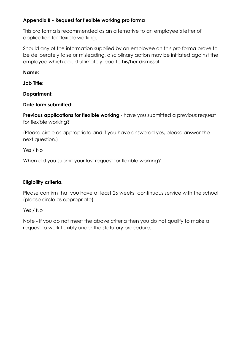# **Appendix B - Request for flexible working pro forma**

This pro forma is recommended as an alternative to an employee's letter of application for flexible working.

Should any of the information supplied by an employee on this pro forma prove to be deliberately false or misleading, disciplinary action may be initiated against the employee which could ultimately lead to his/her dismissal

# **Name:**

**Job Title:**

**Department:**

**Date form submitted:**

**Previous applications for flexible working** - have you submitted a previous request for flexible working?

(Please circle as appropriate and if you have answered yes, please answer the next question.)

Yes / No

When did you submit your last request for flexible working?

# **Eligibility criteria.**

Please confirm that you have at least 26 weeks' continuous service with the school (please circle as appropriate)

Yes / No

Note - If you do not meet the above criteria then you do not qualify to make a request to work flexibly under the statutory procedure.